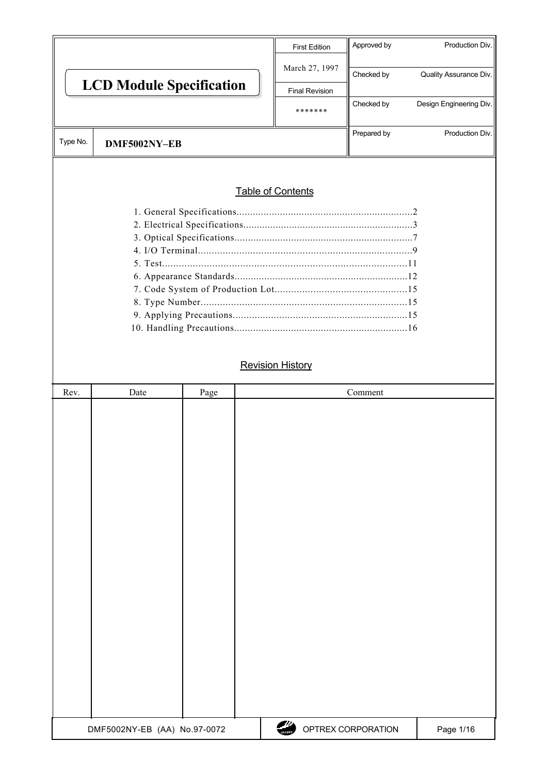|          |                                 | <b>First Edition</b>     | Approved by | Production Div.         |
|----------|---------------------------------|--------------------------|-------------|-------------------------|
|          |                                 | March 27, 1997           | Checked by  | Quality Assurance Div.  |
|          | <b>LCD Module Specification</b> | <b>Final Revision</b>    |             |                         |
|          |                                 | *******                  | Checked by  | Design Engineering Div. |
| Type No. | DMF5002NY-EB                    |                          | Prepared by | Production Div.         |
|          |                                 |                          |             |                         |
|          |                                 | <b>Table of Contents</b> |             |                         |
|          |                                 |                          |             |                         |
|          |                                 |                          |             |                         |
|          |                                 |                          |             |                         |
|          |                                 |                          |             |                         |
|          |                                 |                          |             |                         |
|          |                                 |                          |             |                         |
|          |                                 |                          |             |                         |

 9. Applying Precautions................................................................15 10. Handling Precautions................................................................16

8. Type Number...........................................................................15

### **Revision History**

| Rev. | Date                         | Page | Comment                             |           |
|------|------------------------------|------|-------------------------------------|-----------|
|      |                              |      |                                     |           |
|      |                              |      |                                     |           |
|      |                              |      |                                     |           |
|      |                              |      |                                     |           |
|      |                              |      |                                     |           |
|      |                              |      |                                     |           |
|      |                              |      |                                     |           |
|      |                              |      |                                     |           |
|      |                              |      |                                     |           |
|      |                              |      |                                     |           |
|      |                              |      |                                     |           |
|      |                              |      |                                     |           |
|      |                              |      |                                     |           |
|      |                              |      |                                     |           |
|      |                              |      |                                     |           |
|      |                              |      |                                     |           |
|      |                              |      |                                     |           |
|      |                              |      |                                     |           |
|      |                              |      |                                     |           |
|      |                              |      |                                     |           |
|      | DMF5002NY-EB (AA) No.97-0072 |      | f i<br>OPTREX CORPORATION<br>OPTREX | Page 1/16 |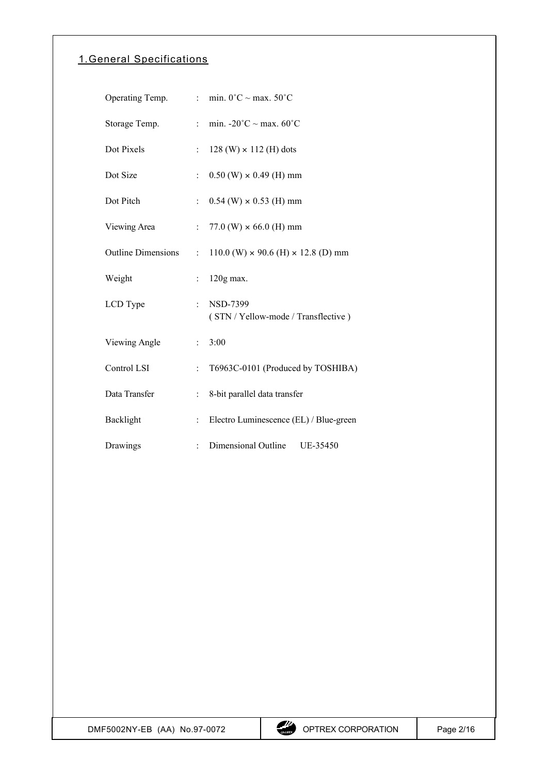# 1. General Specifications

| Operating Temp.           | $\epsilon_{\rm{max}}$              | min. $0^{\circ}$ C ~ max. 50°C                         |
|---------------------------|------------------------------------|--------------------------------------------------------|
| Storage Temp.             | $\mathbb{R}^{\mathbb{Z}}$          | min. $-20^{\circ}$ C ~ max. $60^{\circ}$ C             |
| Dot Pixels                | ÷                                  | $128$ (W) $\times$ 112 (H) dots                        |
| Dot Size                  | $\ddot{\cdot}$                     | $0.50$ (W) $\times$ 0.49 (H) mm                        |
| Dot Pitch                 | $\mathbb{R}^{\mathbb{Z}}$          | $0.54$ (W) $\times$ 0.53 (H) mm                        |
| Viewing Area              |                                    | : $77.0$ (W) $\times$ 66.0 (H) mm                      |
| <b>Outline Dimensions</b> | $\mathbb{R}^{\mathbb{Z}^{\times}}$ | $110.0$ (W) $\times$ 90.6 (H) $\times$ 12.8 (D) mm     |
| Weight                    | t.                                 | $120g$ max.                                            |
| LCD Type                  | $\ddot{\phantom{0}}$               | <b>NSD-7399</b><br>(STN / Yellow-mode / Transflective) |
| Viewing Angle             | t.                                 | 3:00                                                   |
| Control LSI               | $\ddot{\cdot}$                     | T6963C-0101 (Produced by TOSHIBA)                      |
| Data Transfer             | t.                                 | 8-bit parallel data transfer                           |
| Backlight                 | $\ddot{\phantom{0}}$               | Electro Luminescence (EL) / Blue-green                 |
| Drawings                  |                                    | Dimensional Outline<br>UE-35450                        |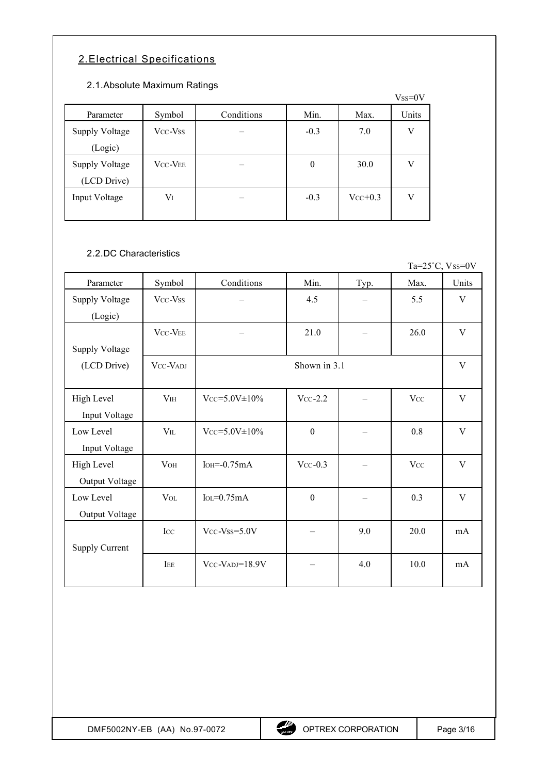# 2. Electrical Specifications

#### 2.1. Absolute Maximum Ratings

|                       |                |            |        |           | $Vss=0V$ |
|-----------------------|----------------|------------|--------|-----------|----------|
| Parameter             | Symbol         | Conditions | Min.   | Max.      | Units    |
| <b>Supply Voltage</b> | Vcc-Vss        |            | $-0.3$ | 7.0       | V        |
| (Logic)               |                |            |        |           |          |
| <b>Supply Voltage</b> | <b>VCC-VEE</b> |            | 0      | 30.0      | V        |
| (LCD Drive)           |                |            |        |           |          |
| Input Voltage         | Vī             |            | $-0.3$ | $Vcc+0.3$ | V        |
|                       |                |            |        |           |          |

### 2.2. DC Characteristics

Ta= $25^{\circ}$ C, Vss=0V

| Parameter             | Symbol          | Conditions            | Min.             | Typ. | Max.       | Units |
|-----------------------|-----------------|-----------------------|------------------|------|------------|-------|
| <b>Supply Voltage</b> | Vcc-Vss         |                       | 4.5              |      | 5.5        | V     |
| (Logic)               |                 |                       |                  |      |            |       |
|                       | VCC-VEE         |                       | 21.0             |      | 26.0       | V     |
| <b>Supply Voltage</b> |                 |                       |                  |      |            |       |
| (LCD Drive)           | VCC-VADJ        |                       | Shown in 3.1     |      |            | V     |
|                       |                 |                       |                  |      |            |       |
| High Level            | V <sub>IH</sub> | $Vcc = 5.0V \pm 10\%$ | $Vcc-2.2$        |      | <b>Vcc</b> | V     |
| Input Voltage         |                 |                       |                  |      |            |       |
| Low Level             | $V_{IL}$        | $Vcc = 5.0V \pm 10\%$ | $\boldsymbol{0}$ |      | 0.8        | V     |
| Input Voltage         |                 |                       |                  |      |            |       |
| High Level            | <b>VOH</b>      | $IoH = 0.75mA$        | $Vcc-0.3$        |      | <b>Vcc</b> | V     |
| Output Voltage        |                 |                       |                  |      |            |       |
| Low Level             | <b>VOL</b>      | $IoL = 0.75mA$        | $\boldsymbol{0}$ |      | 0.3        | V     |
| Output Voltage        |                 |                       |                  |      |            |       |
|                       | Icc             | $Vcc$ - $Vss=5.0V$    |                  | 9.0  | 20.0       | mA    |
| <b>Supply Current</b> |                 |                       |                  |      |            |       |
|                       | IEE             | $Vcc-VADJ=18.9V$      |                  | 4.0  | 10.0       | mA    |
|                       |                 |                       |                  |      |            |       |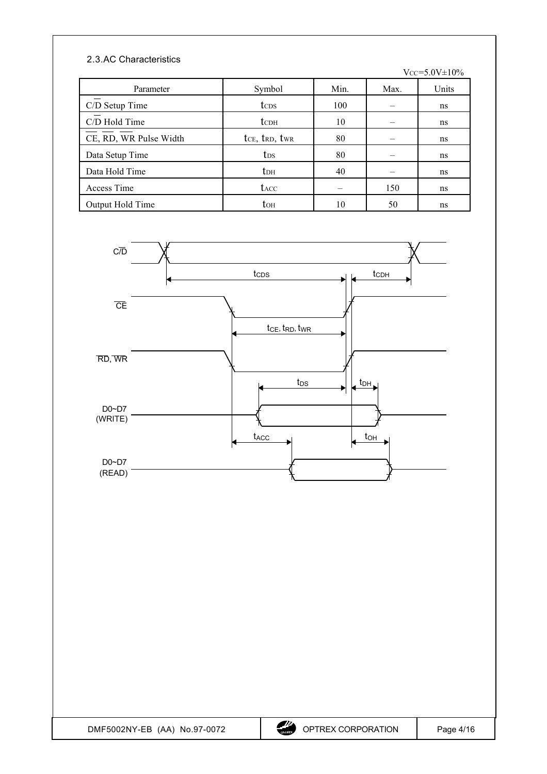### 2.3. AC Characteristics

 $Vcc = 5.0V \pm 10\%$ 

| Parameter              | Symbol                 | Min. | Max. | Units |
|------------------------|------------------------|------|------|-------|
| C/D Setup Time         | tc <sub>DS</sub>       | 100  |      | ns    |
| C/D Hold Time          | t <sub>cDH</sub>       | 10   |      | ns    |
| CE, RD, WR Pulse Width | tce, trd, twr          | 80   |      | ns    |
| Data Setup Time        | t <sub>DS</sub>        | 80   |      | ns    |
| Data Hold Time         | <b>t</b> <sub>DH</sub> | 40   |      | ns    |
| Access Time            | t <sub>ACC</sub>       |      | 150  | ns    |
| Output Hold Time       | toh                    | 10   | 50   | ns    |

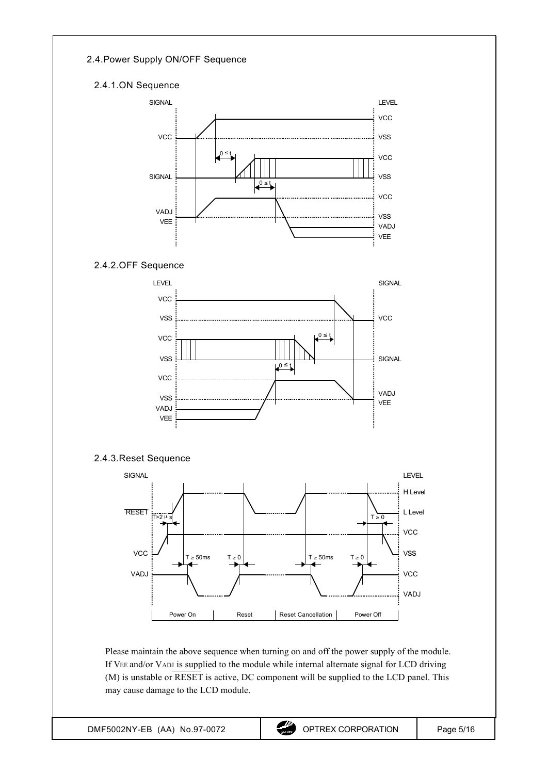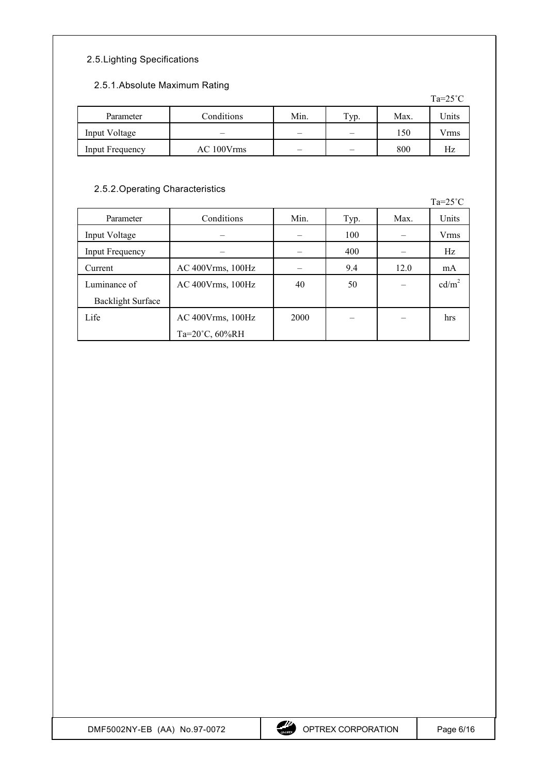### 2.5. Lighting Specifications

#### 2.5.1. Absolute Maximum Rating

|                 |            |      |      |      | $10 \angle U$ |
|-----------------|------------|------|------|------|---------------|
| Parameter       | Conditions | Min. | Typ. | Max. | Units         |
| Input Voltage   |            |      |      | 150  | V rms         |
| Input Frequency | AC 100Vrms |      |      | 800  | Нz            |

### 2.5.2. Operating Characteristics

Ta=25˚C Parameter Conditions Min. Typ. Max. Units Input Voltage – – 100 – Vrms Input Frequency – – – – 400 – Hz Current AC 400Vrms, 100Hz – 9.4 12.0 mA Luminance of Backlight Surface AC 400Vrms, 100Hz  $\begin{vmatrix} 40 & 50 \end{vmatrix}$  50  $\begin{vmatrix} -1 & 2 \end{vmatrix}$  cd/m<sup>2</sup> Life AC 400Vrms, 100Hz Ta=20˚C, 60%RH  $2000$  – – – hrs

 $Ta=25^\circ C$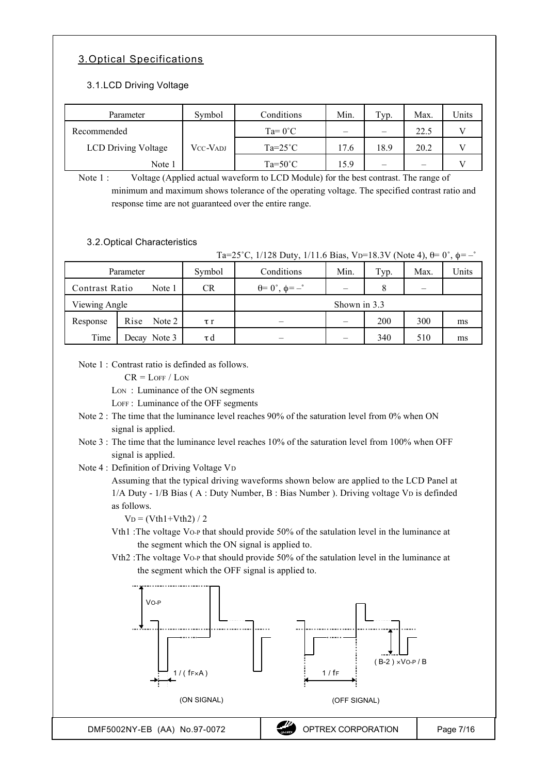# 3. Optical Specifications

### 3.1. LCD Driving Voltage

| Parameter                  | Symbol   | Conditions       | Min. | Typ. | Max. | <b>Jnits</b> |
|----------------------------|----------|------------------|------|------|------|--------------|
| Recommended                |          | $Ta=0^{\circ}C$  | –    |      | 22.5 |              |
| <b>LCD Driving Voltage</b> | Vcc-Vadj | $Ta=25^{\circ}C$ | 17.6 | 18.9 | 20.2 |              |
| Note 1                     |          | $Ta=50^{\circ}C$ | 15.9 |      |      |              |

Note 1 : Voltage (Applied actual waveform to LCD Module) for the best contrast. The range of minimum and maximum shows tolerance of the operating voltage. The specified contrast ratio and response time are not guaranteed over the entire range.

#### 3.2. Optical Characteristics

|                |                |          | Ta=25°C, 1/128 Duty, 1/11.6 Bias, V <sub>D</sub> =18.3V (Note 4), $\theta$ = 0°, $\phi$ = -° |              |      |      |       |
|----------------|----------------|----------|----------------------------------------------------------------------------------------------|--------------|------|------|-------|
|                | Parameter      | Symbol   | Conditions                                                                                   | Min.         | Typ. | Max. | Units |
| Contrast Ratio | Note 1         | CR       | $\theta = 0^{\circ}, \phi = -\degree$                                                        |              |      |      |       |
| Viewing Angle  |                |          |                                                                                              | Shown in 3.3 |      |      |       |
| Response       | Rise<br>Note 2 | $\tau r$ |                                                                                              |              | 200  | 300  | ms    |
| Time           | Decay Note 3   | τd       |                                                                                              |              | 340  | 510  | ms    |

Note  $1 \cdot$  Contrast ratio is definded as follows.

 $CR = LOFF / LON$ 

Lon: Luminance of the ON segments

LOFF : Luminance of the OFF segments

- Note 2 : The time that the luminance level reaches 90% of the saturation level from 0% when ON signal is applied.
- Note 3 : The time that the luminance level reaches 10% of the saturation level from 100% when OFF signal is applied.

Note 4 : Definition of Driving Voltage VD

Assuming that the typical driving waveforms shown below are applied to the LCD Panel at 1/A Duty - 1/B Bias ( A : Duty Number, B : Bias Number ). Driving voltage VD is definded as follows.

 $V_D = (Vth1 + Vth2)/2$ 

- Vth1 :The voltage VO-P that should provide 50% of the satulation level in the luminance at the segment which the ON signal is applied to.
- Vth2 :The voltage VO-P that should provide 50% of the satulation level in the luminance at the segment which the OFF signal is applied to.

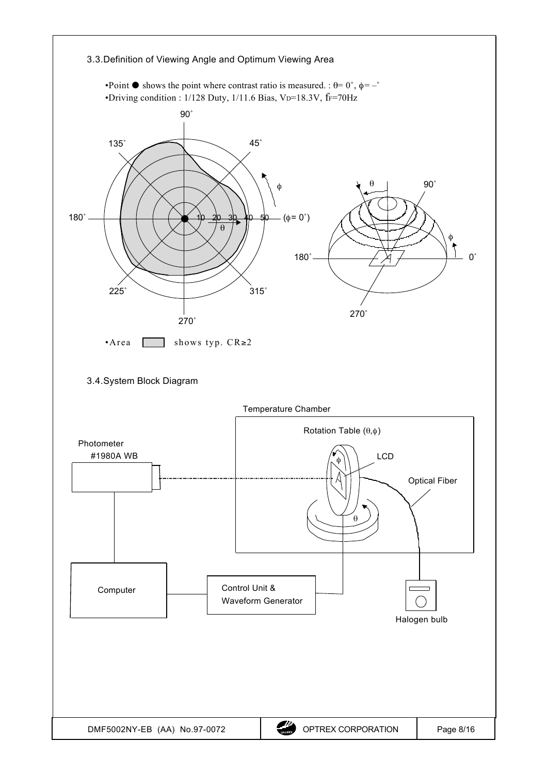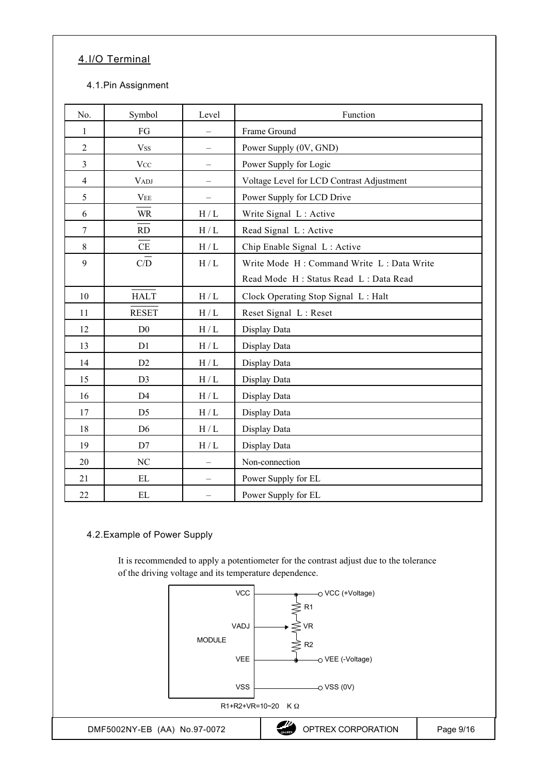# 4. I/O Terminal

#### 4.1. Pin Assignment

| No.            | Symbol                                                                  | Level                    | Function                                  |
|----------------|-------------------------------------------------------------------------|--------------------------|-------------------------------------------|
| 1              | FG                                                                      |                          | Frame Ground                              |
| $\overline{2}$ | <b>Vss</b>                                                              | $\equiv$                 | Power Supply (0V, GND)                    |
| $\overline{3}$ | <b>Vcc</b>                                                              |                          | Power Supply for Logic                    |
| $\overline{4}$ | <b>VADJ</b>                                                             |                          | Voltage Level for LCD Contrast Adjustment |
| 5              | $\ensuremath{\mathbf{V}}\ensuremath{\mathbf{E}}\ensuremath{\mathbf{E}}$ |                          | Power Supply for LCD Drive                |
| 6              | WR                                                                      | H/L                      | Write Signal L: Active                    |
| $\overline{7}$ | RD                                                                      | $\rm H$ / $\rm L$        | Read Signal L: Active                     |
| 8              | CE                                                                      | $\rm H$ / $\rm L$        | Chip Enable Signal L: Active              |
| 9              | C/D                                                                     | H/L                      | Write Mode H: Command Write L: Data Write |
|                |                                                                         |                          | Read Mode H: Status Read L: Data Read     |
| 10             | <b>HALT</b>                                                             | $\rm H$ / $\rm L$        | Clock Operating Stop Signal L: Halt       |
| 11             | <b>RESET</b>                                                            | H/L                      | Reset Signal L: Reset                     |
| 12             | D <sub>0</sub>                                                          | $\rm H$ / $\rm L$        | Display Data                              |
| 13             | D1                                                                      | $\rm H$ / $\rm L$        | Display Data                              |
| 14             | D2                                                                      | $\rm H$ / $\rm L$        | Display Data                              |
| 15             | D <sub>3</sub>                                                          | $\rm H$ / $\rm L$        | Display Data                              |
| 16             | D <sub>4</sub>                                                          | $\rm H$ / $\rm L$        | Display Data                              |
| 17             | D <sub>5</sub>                                                          | $\rm H$ / $\rm L$        | Display Data                              |
| 18             | D <sub>6</sub>                                                          | $\rm H$ / $\rm L$        | Display Data                              |
| 19             | D7                                                                      | H/L                      | Display Data                              |
| 20             | $\rm NC$                                                                |                          | Non-connection                            |
| 21             | EL                                                                      | $\overline{\phantom{0}}$ | Power Supply for EL                       |
| 22             | EL                                                                      | $\overline{\phantom{0}}$ | Power Supply for EL                       |

#### 4.2. Example of Power Supply

It is recommended to apply a potentiometer for the contrast adjust due to the tolerance of the driving voltage and its temperature dependence.

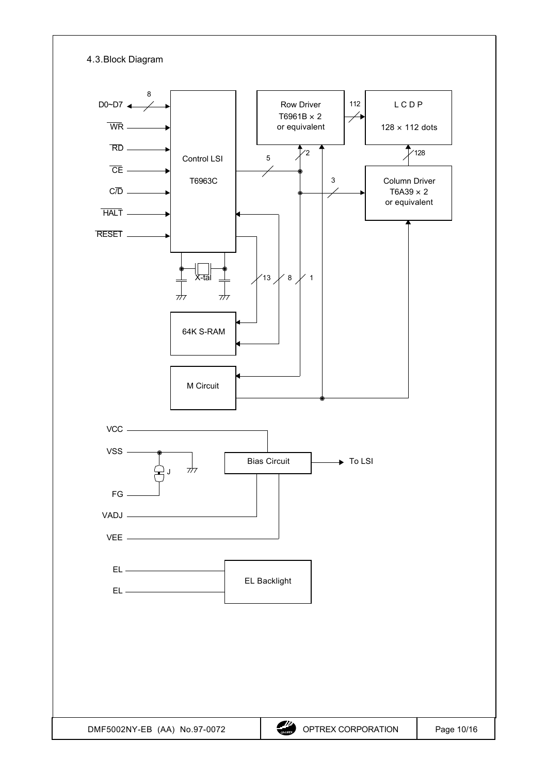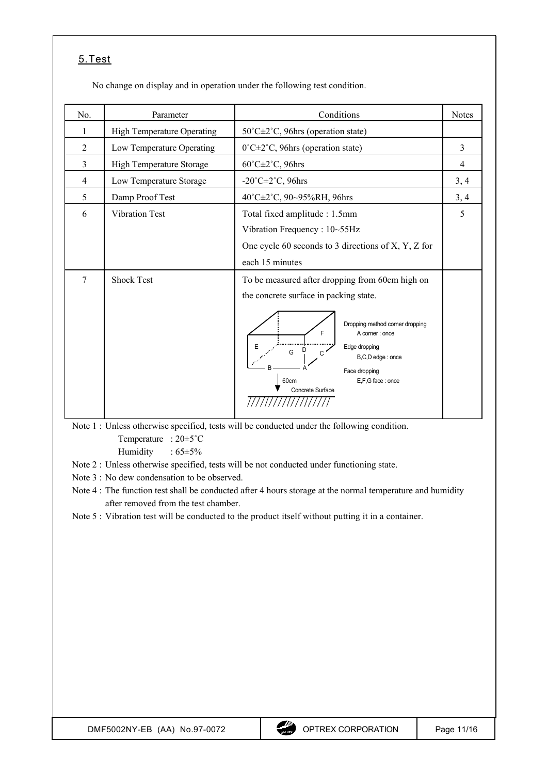## 5. Test

No change on display and in operation under the following test condition.

| No.            | Parameter                         | Conditions                                                                                                                                                                                                                                                          | <b>Notes</b> |
|----------------|-----------------------------------|---------------------------------------------------------------------------------------------------------------------------------------------------------------------------------------------------------------------------------------------------------------------|--------------|
| 1              | <b>High Temperature Operating</b> | 50°C±2°C, 96hrs (operation state)                                                                                                                                                                                                                                   |              |
| $\overline{2}$ | Low Temperature Operating         | $0^{\circ}$ C $\pm$ 2 <sup>°</sup> C, 96hrs (operation state)                                                                                                                                                                                                       | 3            |
| 3              | High Temperature Storage          | $60^{\circ}$ C $\pm$ 2 $^{\circ}$ C, 96hrs                                                                                                                                                                                                                          | 4            |
| $\overline{4}$ | Low Temperature Storage           | $-20^{\circ}$ C $\pm 2^{\circ}$ C, 96hrs                                                                                                                                                                                                                            | 3, 4         |
| 5              | Damp Proof Test                   | 40°C±2°C, 90~95%RH, 96hrs                                                                                                                                                                                                                                           | 3, 4         |
| 6              | <b>Vibration Test</b>             | Total fixed amplitude : 1.5mm<br>Vibration Frequency: 10~55Hz<br>One cycle 60 seconds to 3 directions of X, Y, Z for<br>each 15 minutes                                                                                                                             | 5            |
| 7              | <b>Shock Test</b>                 | To be measured after dropping from 60cm high on<br>the concrete surface in packing state.<br>Dropping method corner dropping<br>F<br>A corner: once<br>Edge dropping<br>D<br>G<br>B,C,D edge: once<br>Face dropping<br>E,F,G face: once<br>60cm<br>Concrete Surface |              |

Note 1 : Unless otherwise specified, tests will be conducted under the following condition. Temperature : 20±5˚C

Humidity :  $65\pm5\%$ 

Note 2 : Unless otherwise specified, tests will be not conducted under functioning state.

Note 3 : No dew condensation to be observed.

Note 4 : The function test shall be conducted after 4 hours storage at the normal temperature and humidity after removed from the test chamber.

Note 5 : Vibration test will be conducted to the product itself without putting it in a container.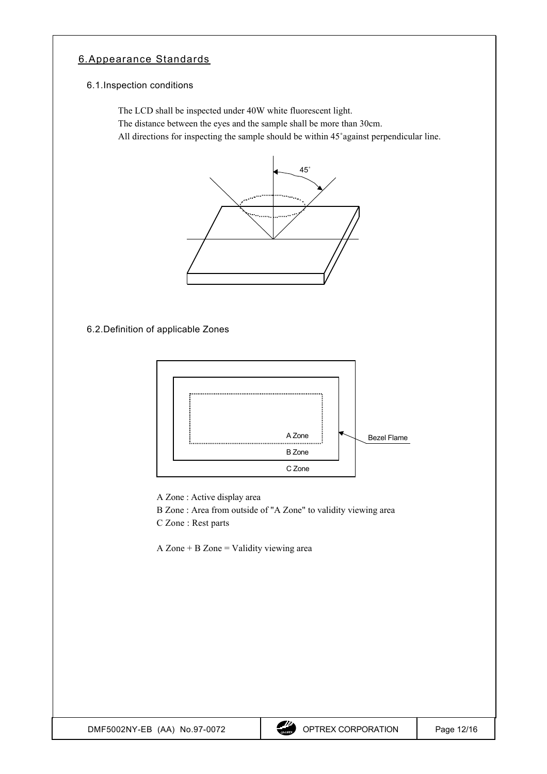## 6. Appearance Standards

#### 6.1. Inspection conditions

The LCD shall be inspected under 40W white fluorescent light.

The distance between the eyes and the sample shall be more than 30cm.

All directions for inspecting the sample should be within 45˚against perpendicular line.



6.2. Definition of applicable Zones



A Zone : Active display area

B Zone : Area from outside of "A Zone" to validity viewing area C Zone : Rest parts

A Zone  $+$  B Zone  $=$  Validity viewing area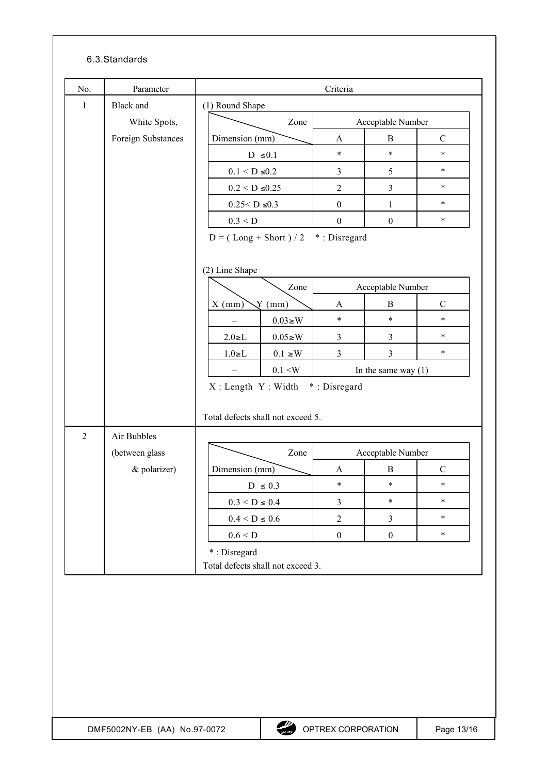### 6.3. Standards

|                | Parameter          |                                   | Criteria         |                       |               |
|----------------|--------------------|-----------------------------------|------------------|-----------------------|---------------|
| 1              | <b>Black</b> and   | (1) Round Shape                   |                  |                       |               |
|                | White Spots,       | Zone                              |                  | Acceptable Number     |               |
|                | Foreign Substances | Dimension (mm)                    | A                | B                     | $\mathcal{C}$ |
|                |                    | D $\leq 0.1$                      | $\star$          | $\ast$                | $\ast$        |
|                |                    | $0.1 \leq D \leq 0.2$             | $\mathfrak{Z}$   | 5                     | $\ast$        |
|                |                    | $0.2 < D \le 0.25$                | $\overline{2}$   | $\mathfrak{Z}$        | $\ast$        |
|                |                    | $0.25 < D \le 0.3$                | $\boldsymbol{0}$ | $\mathbf{1}$          | $\ast$        |
|                |                    | 0.3 < D                           | $\boldsymbol{0}$ | $\boldsymbol{0}$      | $\ast$        |
|                |                    | $D = (Long + Short) / 2$          | *: Disregard     |                       |               |
|                |                    | (2) Line Shape                    |                  |                       |               |
|                |                    | Zone                              |                  | Acceptable Number     |               |
|                |                    | $\sqrt{Y}$ (mm)<br>$X$ (mm)       | A                | $\bf{B}$              | $\mathbf C$   |
|                |                    | $0.03 \geq W$                     | $\star$          | $\ast$                | $\ast$        |
|                |                    | $0.05 \geq W$<br>$2.0 \ge L$      | 3                | 3                     | $\ast$        |
|                |                    | $1.0 \ge L$<br>$0.1\geq W$        | $\overline{3}$   | $\mathfrak{Z}$        | $\ast$        |
|                |                    | 0.1 < W                           |                  | In the same way $(1)$ |               |
|                |                    | X: Length Y: Width *: Disregard   |                  |                       |               |
| $\overline{2}$ | Air Bubbles        | Total defects shall not exceed 5. |                  |                       |               |
|                | (between glass     | Zone                              |                  | Acceptable Number     |               |
|                | & polarizer)       | Dimension (mm)                    | A                | $\bf{B}$              | $\mathbf C$   |
|                |                    | D $\leq 0.3$                      | $\ast$           | $\ast$                | $\ast$        |
|                |                    | $0.3 \leq D \leq 0.4$             | $\mathfrak{Z}$   | $\ast$                | $\ast$        |
|                |                    | $0.4 \leq D \leq 0.6$             | $\sqrt{2}$       | $\mathfrak{Z}$        | $\ast$        |
|                |                    | $0.6 \leq D$<br>*: Disregard      | $\boldsymbol{0}$ | $\boldsymbol{0}$      | $\ast$        |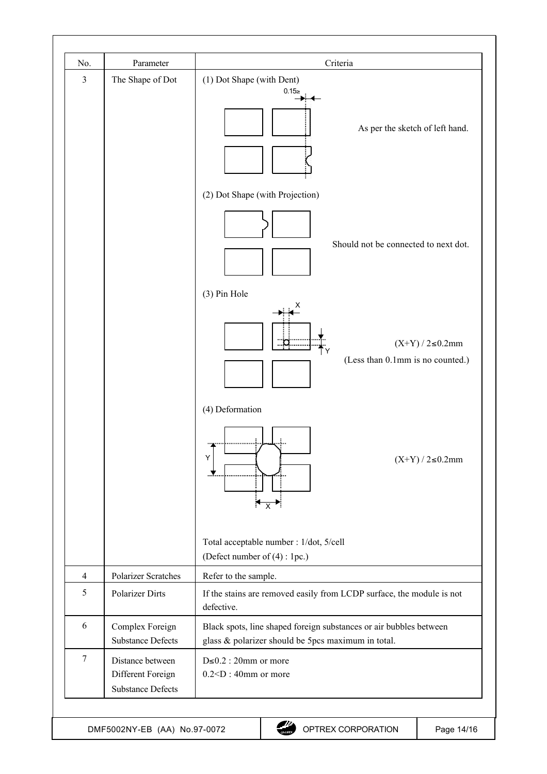| No.            | Parameter                                                         | Criteria                                                                                                                 |
|----------------|-------------------------------------------------------------------|--------------------------------------------------------------------------------------------------------------------------|
| 3              | The Shape of Dot                                                  | (1) Dot Shape (with Dent)<br>0.15z<br>As per the sketch of left hand.                                                    |
|                |                                                                   | (2) Dot Shape (with Projection)<br>Should not be connected to next dot.<br>(3) Pin Hole                                  |
|                |                                                                   | х<br>$(X+Y)/2 \le 0.2$ mm<br>(Less than 0.1mm is no counted.)                                                            |
|                |                                                                   | (4) Deformation<br>Υ<br>$(X+Y)/2 \le 0.2$ mm<br>$\leftrightarrow$                                                        |
|                |                                                                   | Total acceptable number : 1/dot, 5/cell<br>(Defect number of (4) : 1pc.)                                                 |
| $\overline{4}$ | Polarizer Scratches                                               | Refer to the sample.                                                                                                     |
| 5              | <b>Polarizer Dirts</b>                                            | If the stains are removed easily from LCDP surface, the module is not<br>defective.                                      |
| 6              | Complex Foreign<br><b>Substance Defects</b>                       | Black spots, line shaped foreign substances or air bubbles between<br>glass & polarizer should be 5pcs maximum in total. |
| $\tau$         | Distance between<br>Different Foreign<br><b>Substance Defects</b> | $D \le 0.2$ : 20mm or more<br>$0.2 < D$ : 40mm or more                                                                   |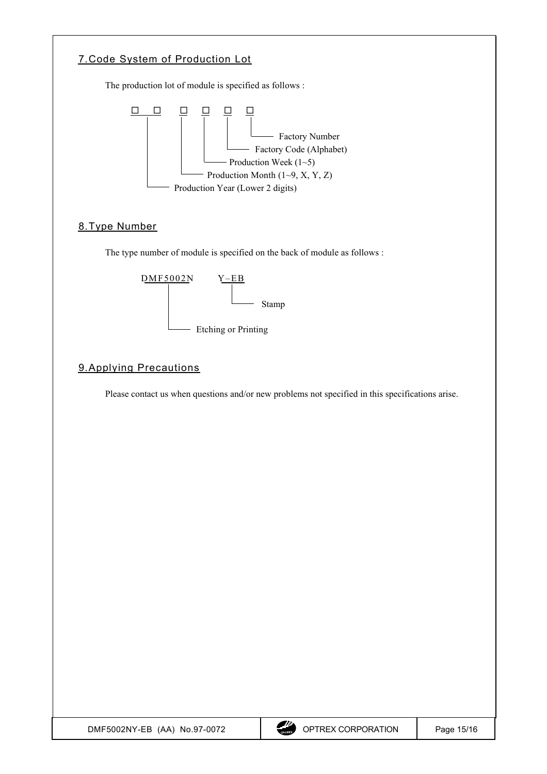